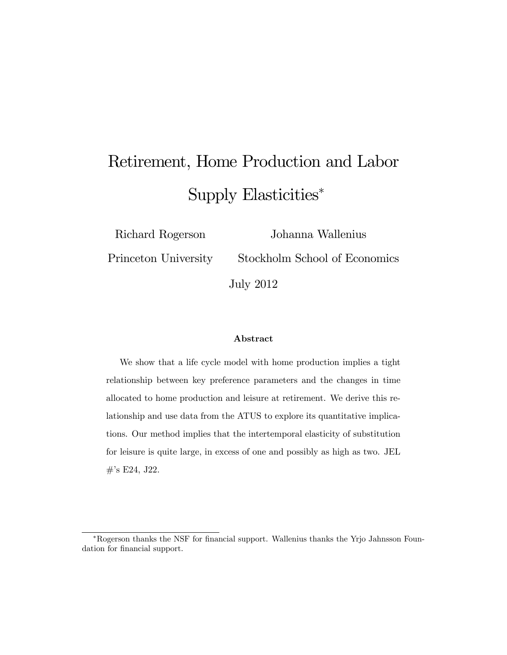# Retirement, Home Production and Labor Supply Elasticities<sup>∗</sup>

Richard Rogerson Princeton University Johanna Wallenius

Stockholm School of Economics

July 2012

#### Abstract

We show that a life cycle model with home production implies a tight relationship between key preference parameters and the changes in time allocated to home production and leisure at retirement. We derive this relationship and use data from the ATUS to explore its quantitative implications. Our method implies that the intertemporal elasticity of substitution for leisure is quite large, in excess of one and possibly as high as two. JEL #'s E24, J22.

<sup>∗</sup>Rogerson thanks the NSF for financial support. Wallenius thanks the Yrjo Jahnsson Foundation for financial support.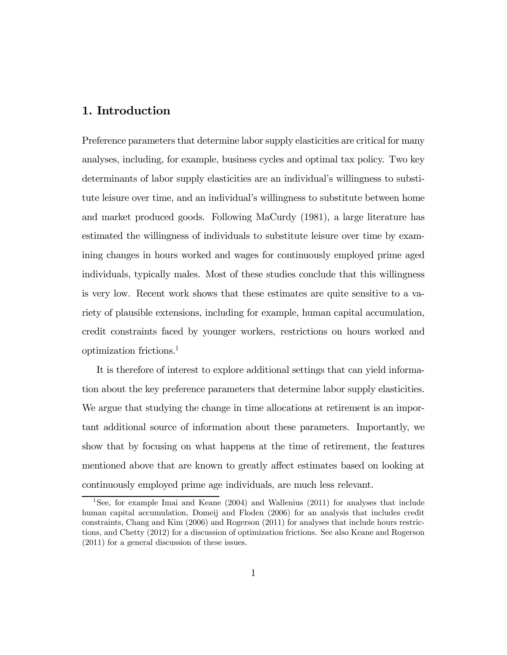# 1. Introduction

Preference parameters that determine labor supply elasticities are critical for many analyses, including, for example, business cycles and optimal tax policy. Two key determinants of labor supply elasticities are an individual's willingness to substitute leisure over time, and an individual's willingness to substitute between home and market produced goods. Following MaCurdy (1981), a large literature has estimated the willingness of individuals to substitute leisure over time by examining changes in hours worked and wages for continuously employed prime aged individuals, typically males. Most of these studies conclude that this willingness is very low. Recent work shows that these estimates are quite sensitive to a variety of plausible extensions, including for example, human capital accumulation, credit constraints faced by younger workers, restrictions on hours worked and optimization frictions.1

It is therefore of interest to explore additional settings that can yield information about the key preference parameters that determine labor supply elasticities. We argue that studying the change in time allocations at retirement is an important additional source of information about these parameters. Importantly, we show that by focusing on what happens at the time of retirement, the features mentioned above that are known to greatly affect estimates based on looking at continuously employed prime age individuals, are much less relevant.

<sup>1</sup>See, for example Imai and Keane (2004) and Wallenius (2011) for analyses that include human capital accumulation, Domeij and Floden (2006) for an analysis that includes credit constraints, Chang and Kim (2006) and Rogerson (2011) for analyses that include hours restrictions, and Chetty (2012) for a discussion of optimization frictions. See also Keane and Rogerson (2011) for a general discussion of these issues.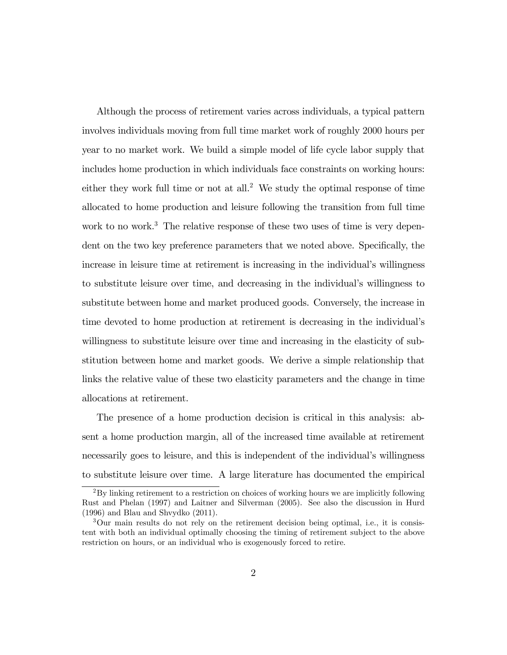Although the process of retirement varies across individuals, a typical pattern involves individuals moving from full time market work of roughly 2000 hours per year to no market work. We build a simple model of life cycle labor supply that includes home production in which individuals face constraints on working hours: either they work full time or not at all.<sup>2</sup> We study the optimal response of time allocated to home production and leisure following the transition from full time work to no work.<sup>3</sup> The relative response of these two uses of time is very dependent on the two key preference parameters that we noted above. Specifically, the increase in leisure time at retirement is increasing in the individual's willingness to substitute leisure over time, and decreasing in the individual's willingness to substitute between home and market produced goods. Conversely, the increase in time devoted to home production at retirement is decreasing in the individual's willingness to substitute leisure over time and increasing in the elasticity of substitution between home and market goods. We derive a simple relationship that links the relative value of these two elasticity parameters and the change in time allocations at retirement.

The presence of a home production decision is critical in this analysis: absent a home production margin, all of the increased time available at retirement necessarily goes to leisure, and this is independent of the individual's willingness to substitute leisure over time. A large literature has documented the empirical

<sup>2</sup>By linking retirement to a restriction on choices of working hours we are implicitly following Rust and Phelan (1997) and Laitner and Silverman (2005). See also the discussion in Hurd (1996) and Blau and Shvydko (2011).

<sup>3</sup>Our main results do not rely on the retirement decision being optimal, i.e., it is consistent with both an individual optimally choosing the timing of retirement subject to the above restriction on hours, or an individual who is exogenously forced to retire.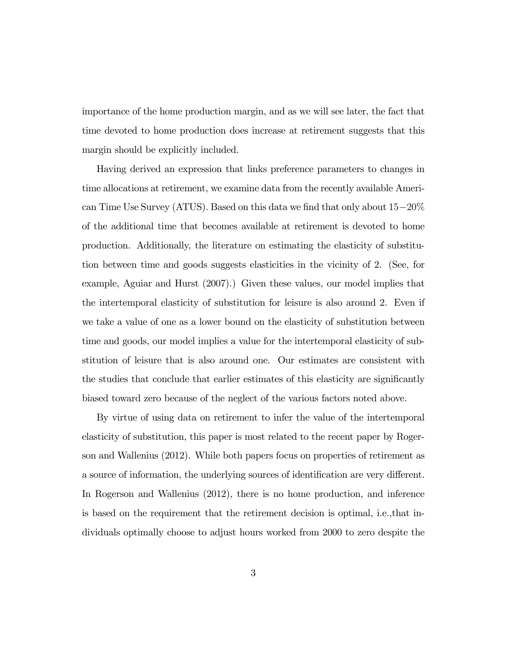importance of the home production margin, and as we will see later, the fact that time devoted to home production does increase at retirement suggests that this margin should be explicitly included.

Having derived an expression that links preference parameters to changes in time allocations at retirement, we examine data from the recently available American Time Use Survey (ATUS). Based on this data we find that only about 15−20% of the additional time that becomes available at retirement is devoted to home production. Additionally, the literature on estimating the elasticity of substitution between time and goods suggests elasticities in the vicinity of 2. (See, for example, Aguiar and Hurst (2007).) Given these values, our model implies that the intertemporal elasticity of substitution for leisure is also around 2. Even if we take a value of one as a lower bound on the elasticity of substitution between time and goods, our model implies a value for the intertemporal elasticity of substitution of leisure that is also around one. Our estimates are consistent with the studies that conclude that earlier estimates of this elasticity are significantly biased toward zero because of the neglect of the various factors noted above.

By virtue of using data on retirement to infer the value of the intertemporal elasticity of substitution, this paper is most related to the recent paper by Rogerson and Wallenius (2012). While both papers focus on properties of retirement as a source of information, the underlying sources of identification are very different. In Rogerson and Wallenius (2012), there is no home production, and inference is based on the requirement that the retirement decision is optimal, i.e.,that individuals optimally choose to adjust hours worked from 2000 to zero despite the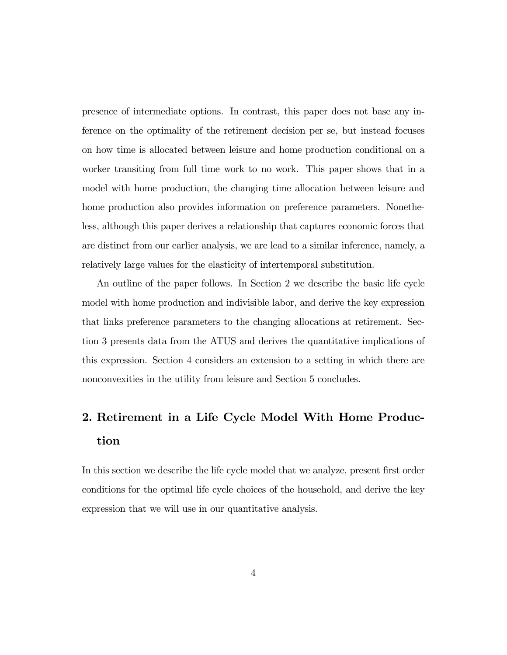presence of intermediate options. In contrast, this paper does not base any inference on the optimality of the retirement decision per se, but instead focuses on how time is allocated between leisure and home production conditional on a worker transiting from full time work to no work. This paper shows that in a model with home production, the changing time allocation between leisure and home production also provides information on preference parameters. Nonetheless, although this paper derives a relationship that captures economic forces that are distinct from our earlier analysis, we are lead to a similar inference, namely, a relatively large values for the elasticity of intertemporal substitution.

An outline of the paper follows. In Section 2 we describe the basic life cycle model with home production and indivisible labor, and derive the key expression that links preference parameters to the changing allocations at retirement. Section 3 presents data from the ATUS and derives the quantitative implications of this expression. Section 4 considers an extension to a setting in which there are nonconvexities in the utility from leisure and Section 5 concludes.

# 2. Retirement in a Life Cycle Model With Home Production

In this section we describe the life cycle model that we analyze, present first order conditions for the optimal life cycle choices of the household, and derive the key expression that we will use in our quantitative analysis.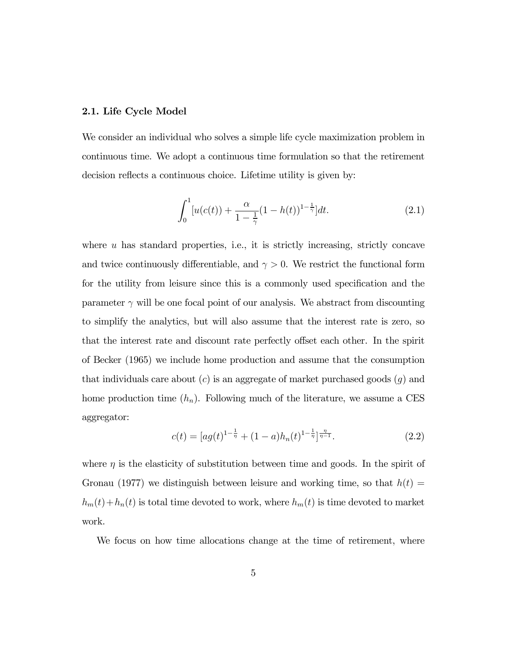#### 2.1. Life Cycle Model

We consider an individual who solves a simple life cycle maximization problem in continuous time. We adopt a continuous time formulation so that the retirement decision reflects a continuous choice. Lifetime utility is given by:

$$
\int_0^1 [u(c(t)) + \frac{\alpha}{1 - \frac{1}{\gamma}} (1 - h(t))^{1 - \frac{1}{\gamma}}] dt.
$$
 (2.1)

where  $u$  has standard properties, i.e., it is strictly increasing, strictly concave and twice continuously differentiable, and  $\gamma > 0$ . We restrict the functional form for the utility from leisure since this is a commonly used specification and the parameter  $\gamma$  will be one focal point of our analysis. We abstract from discounting to simplify the analytics, but will also assume that the interest rate is zero, so that the interest rate and discount rate perfectly offset each other. In the spirit of Becker (1965) we include home production and assume that the consumption that individuals care about  $(c)$  is an aggregate of market purchased goods  $(g)$  and home production time  $(h_n)$ . Following much of the literature, we assume a CES aggregator:

$$
c(t) = \left[ ag(t)^{1 - \frac{1}{\eta}} + (1 - a)h_n(t)^{1 - \frac{1}{\eta}} \right]^{\frac{\eta}{\eta - 1}}.
$$
\n(2.2)

where  $\eta$  is the elasticity of substitution between time and goods. In the spirit of Gronau (1977) we distinguish between leisure and working time, so that  $h(t)$  $h_m(t) + h_n(t)$  is total time devoted to work, where  $h_m(t)$  is time devoted to market work.

We focus on how time allocations change at the time of retirement, where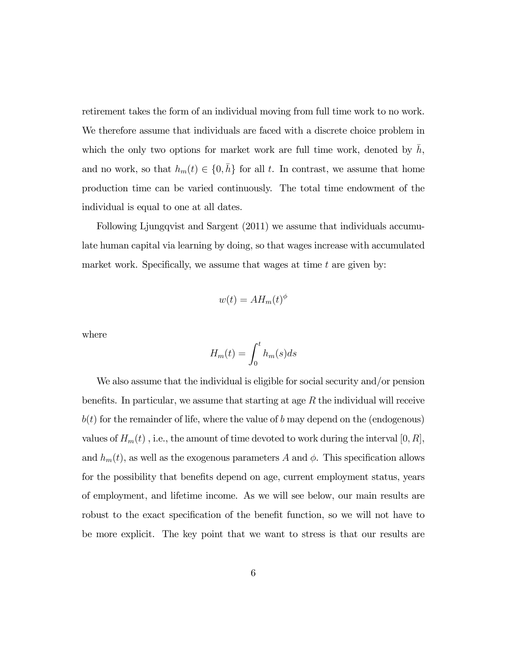retirement takes the form of an individual moving from full time work to no work. We therefore assume that individuals are faced with a discrete choice problem in which the only two options for market work are full time work, denoted by  $h$ , and no work, so that  $h_m(t) \in \{0, \bar{h}\}$  for all t. In contrast, we assume that home production time can be varied continuously. The total time endowment of the individual is equal to one at all dates.

Following Ljungqvist and Sargent (2011) we assume that individuals accumulate human capital via learning by doing, so that wages increase with accumulated market work. Specifically, we assume that wages at time  $t$  are given by:

$$
w(t) = AH_m(t)^{\phi}
$$

where

$$
H_m(t) = \int_0^t h_m(s)ds
$$

We also assume that the individual is eligible for social security and/or pension benefits. In particular, we assume that starting at age  $R$  the individual will receive  $b(t)$  for the remainder of life, where the value of  $b$  may depend on the (endogenous) values of  $H_m(t)$ , i.e., the amount of time devoted to work during the interval  $[0, R]$ , and  $h_m(t)$ , as well as the exogenous parameters A and  $\phi$ . This specification allows for the possibility that benefits depend on age, current employment status, years of employment, and lifetime income. As we will see below, our main results are robust to the exact specification of the benefit function, so we will not have to be more explicit. The key point that we want to stress is that our results are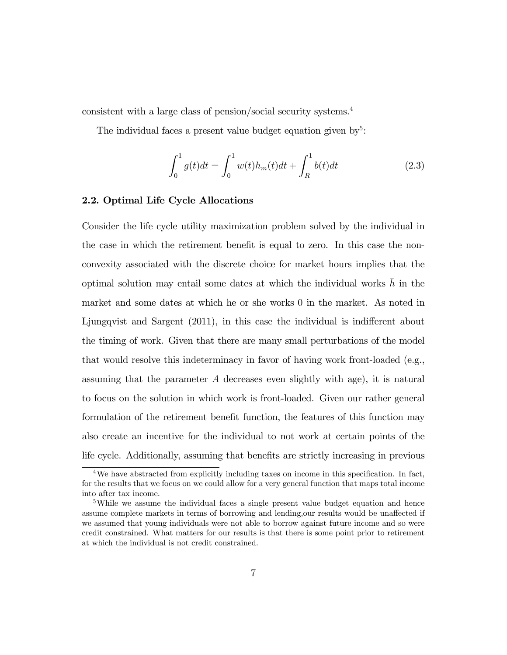consistent with a large class of pension/social security systems.4

The individual faces a present value budget equation given by<sup>5</sup>:

$$
\int_0^1 g(t)dt = \int_0^1 w(t)h_m(t)dt + \int_R^1 b(t)dt
$$
\n(2.3)

#### 2.2. Optimal Life Cycle Allocations

Consider the life cycle utility maximization problem solved by the individual in the case in which the retirement benefit is equal to zero. In this case the nonconvexity associated with the discrete choice for market hours implies that the optimal solution may entail some dates at which the individual works  $h$  in the market and some dates at which he or she works 0 in the market. As noted in Ljungqvist and Sargent (2011), in this case the individual is indifferent about the timing of work. Given that there are many small perturbations of the model that would resolve this indeterminacy in favor of having work front-loaded (e.g., assuming that the parameter  $A$  decreases even slightly with age), it is natural to focus on the solution in which work is front-loaded. Given our rather general formulation of the retirement benefit function, the features of this function may also create an incentive for the individual to not work at certain points of the life cycle. Additionally, assuming that benefits are strictly increasing in previous

<sup>4</sup>We have abstracted from explicitly including taxes on income in this specification. In fact, for the results that we focus on we could allow for a very general function that maps total income into after tax income.

<sup>&</sup>lt;sup>5</sup>While we assume the individual faces a single present value budget equation and hence assume complete markets in terms of borrowing and lending,our results would be unaffected if we assumed that young individuals were not able to borrow against future income and so were credit constrained. What matters for our results is that there is some point prior to retirement at which the individual is not credit constrained.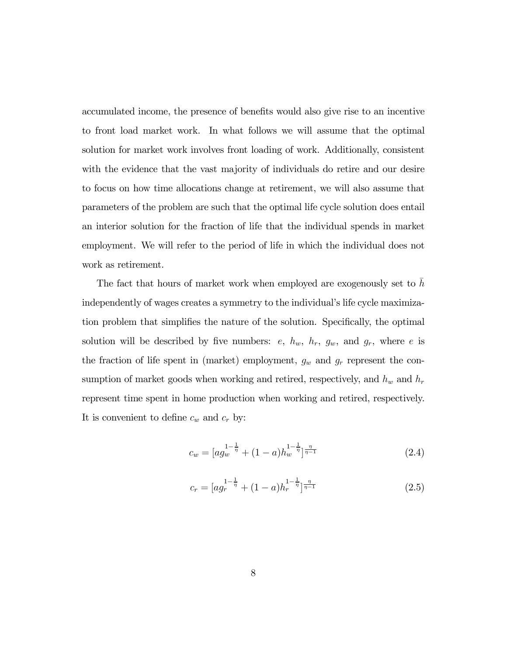accumulated income, the presence of benefits would also give rise to an incentive to front load market work. In what follows we will assume that the optimal solution for market work involves front loading of work. Additionally, consistent with the evidence that the vast majority of individuals do retire and our desire to focus on how time allocations change at retirement, we will also assume that parameters of the problem are such that the optimal life cycle solution does entail an interior solution for the fraction of life that the individual spends in market employment. We will refer to the period of life in which the individual does not work as retirement.

The fact that hours of market work when employed are exogenously set to  $h$ independently of wages creates a symmetry to the individual's life cycle maximization problem that simplifies the nature of the solution. Specifically, the optimal solution will be described by five numbers:  $e, h_w, h_r, g_w,$  and  $g_r$ , where  $e$  is the fraction of life spent in (market) employment,  $g_w$  and  $g_r$  represent the consumption of market goods when working and retired, respectively, and  $h_w$  and  $h_r$ represent time spent in home production when working and retired, respectively. It is convenient to define  $c_w$  and  $c_r$  by:

$$
c_w = \left[ ag_w^{\frac{1-\frac{1}{\eta}}{}} + (1-a)h_w^{\frac{1-\frac{1}{\eta}}{}} \right]^{\frac{\eta}{\eta-1}}
$$
\n(2.4)

$$
c_r = \left[ a g_r^{\frac{1 - \frac{1}{\eta}}{\eta}} + (1 - a) h_r^{\frac{1 - \frac{1}{\eta}}{\eta}} \right]^{\frac{\eta}{\eta - 1}}
$$
\n(2.5)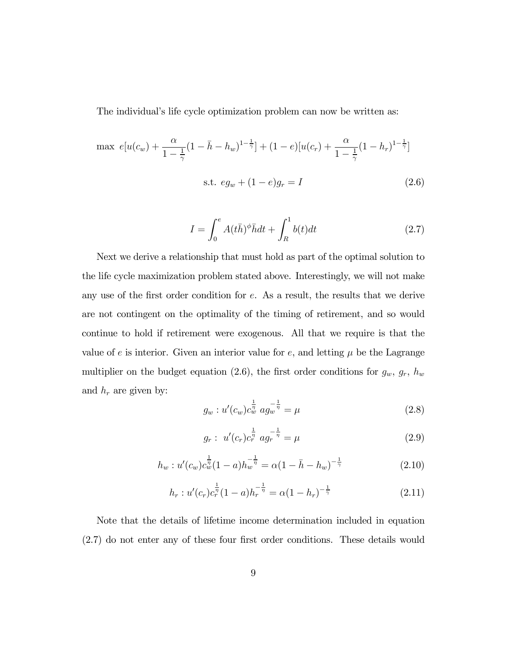The individual's life cycle optimization problem can now be written as:

$$
\max e[u(c_w) + \frac{\alpha}{1 - \frac{1}{\gamma}}(1 - \bar{h} - h_w)^{1 - \frac{1}{\gamma}}] + (1 - e)[u(c_r) + \frac{\alpha}{1 - \frac{1}{\gamma}}(1 - h_r)^{1 - \frac{1}{\gamma}}]
$$
  
s.t.  $eg_w + (1 - e)g_r = I$  (2.6)

$$
I = \int_0^e A(t\bar{h})^\phi \bar{h}dt + \int_R^1 b(t)dt
$$
\n(2.7)

Next we derive a relationship that must hold as part of the optimal solution to the life cycle maximization problem stated above. Interestingly, we will not make any use of the first order condition for  $e$ . As a result, the results that we derive are not contingent on the optimality of the timing of retirement, and so would continue to hold if retirement were exogenous. All that we require is that the value of  $e$  is interior. Given an interior value for  $e$ , and letting  $\mu$  be the Lagrange multiplier on the budget equation (2.6), the first order conditions for  $g_w$ ,  $g_r$ ,  $h_w$ and  $h_r$  are given by:

$$
g_w: u'(c_w)c_w^{\frac{1}{\eta}} \, a g_w^{-\frac{1}{\eta}} = \mu \tag{2.8}
$$

$$
g_r: u'(c_r)c_r^{\frac{1}{\eta}} a g_r^{-\frac{1}{\eta}} = \mu \tag{2.9}
$$

$$
h_w: u'(c_w)c_w^{\frac{1}{\eta}}(1-a)h_w^{-\frac{1}{\eta}} = \alpha(1-\bar{h}-h_w)^{-\frac{1}{\gamma}}
$$
\n(2.10)

$$
h_r: u'(c_r)c_r^{\frac{1}{\eta}}(1-a)h_r^{-\frac{1}{\eta}} = \alpha(1-h_r)^{-\frac{1}{\gamma}}
$$
\n(2.11)

Note that the details of lifetime income determination included in equation (2.7) do not enter any of these four first order conditions. These details would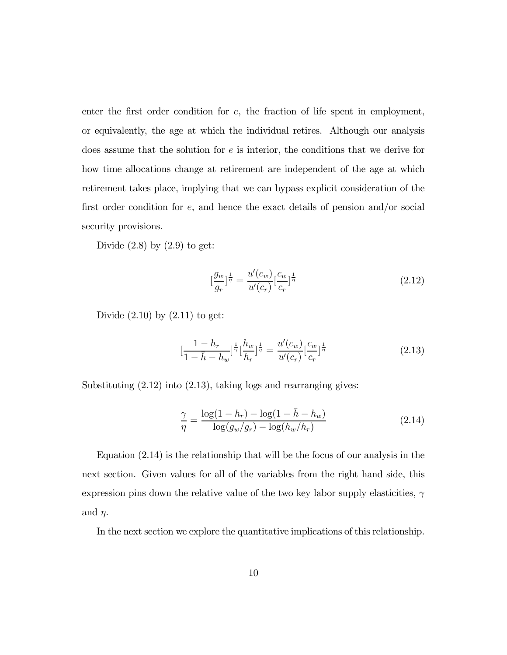enter the first order condition for  $e$ , the fraction of life spent in employment, or equivalently, the age at which the individual retires. Although our analysis does assume that the solution for  $e$  is interior, the conditions that we derive for how time allocations change at retirement are independent of the age at which retirement takes place, implying that we can bypass explicit consideration of the first order condition for  $e$ , and hence the exact details of pension and/or social security provisions.

Divide  $(2.8)$  by  $(2.9)$  to get:

$$
\left[\frac{g_w}{g_r}\right]_{{\eta}}^{\frac{1}{\eta}} = \frac{u'(c_w)}{u'(c_r)} \left[\frac{c_w}{c_r}\right]_{{\eta}}^{\frac{1}{\eta}}
$$
\n(2.12)

Divide  $(2.10)$  by  $(2.11)$  to get:

$$
\left[\frac{1-h_r}{1-\bar{h}-h_w}\right]^{\frac{1}{\gamma}}\left[\frac{h_w}{h_r}\right]^{\frac{1}{\eta}} = \frac{u'(c_w)}{u'(c_r)}\left[\frac{c_w}{c_r}\right]^{\frac{1}{\eta}}\tag{2.13}
$$

Substituting (2.12) into (2.13), taking logs and rearranging gives:

$$
\frac{\gamma}{\eta} = \frac{\log(1 - h_r) - \log(1 - \bar{h} - h_w)}{\log(g_w/g_r) - \log(h_w/h_r)}
$$
(2.14)

Equation (2.14) is the relationship that will be the focus of our analysis in the next section. Given values for all of the variables from the right hand side, this expression pins down the relative value of the two key labor supply elasticities,  $\gamma$ and  $\eta$ .

In the next section we explore the quantitative implications of this relationship.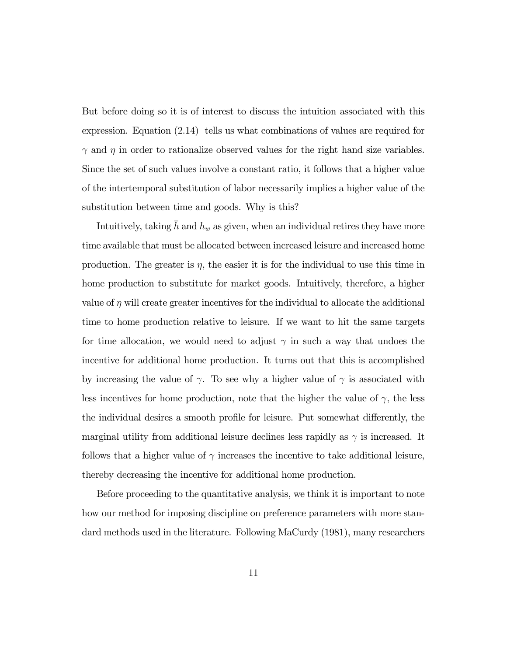But before doing so it is of interest to discuss the intuition associated with this expression. Equation (2.14) tells us what combinations of values are required for  $\gamma$  and  $\eta$  in order to rationalize observed values for the right hand size variables. Since the set of such values involve a constant ratio, it follows that a higher value of the intertemporal substitution of labor necessarily implies a higher value of the substitution between time and goods. Why is this?

Intuitively, taking  $\bar{h}$  and  $h_w$  as given, when an individual retires they have more time available that must be allocated between increased leisure and increased home production. The greater is  $\eta$ , the easier it is for the individual to use this time in home production to substitute for market goods. Intuitively, therefore, a higher value of  $\eta$  will create greater incentives for the individual to allocate the additional time to home production relative to leisure. If we want to hit the same targets for time allocation, we would need to adjust  $\gamma$  in such a way that undoes the incentive for additional home production. It turns out that this is accomplished by increasing the value of  $\gamma$ . To see why a higher value of  $\gamma$  is associated with less incentives for home production, note that the higher the value of  $\gamma$ , the less the individual desires a smooth profile for leisure. Put somewhat differently, the marginal utility from additional leisure declines less rapidly as  $\gamma$  is increased. It follows that a higher value of  $\gamma$  increases the incentive to take additional leisure, thereby decreasing the incentive for additional home production.

Before proceeding to the quantitative analysis, we think it is important to note how our method for imposing discipline on preference parameters with more standard methods used in the literature. Following MaCurdy (1981), many researchers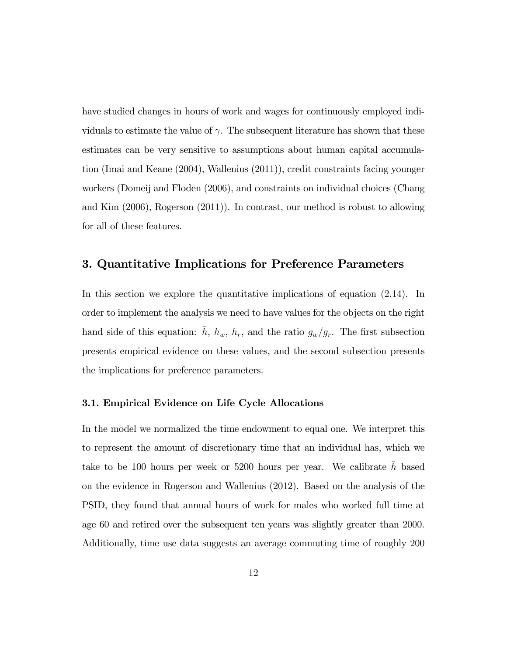have studied changes in hours of work and wages for continuously employed individuals to estimate the value of  $\gamma$ . The subsequent literature has shown that these estimates can be very sensitive to assumptions about human capital accumulation (Imai and Keane (2004), Wallenius (2011)), credit constraints facing younger workers (Domeij and Floden (2006), and constraints on individual choices (Chang and Kim (2006), Rogerson (2011)). In contrast, our method is robust to allowing for all of these features.

### 3. Quantitative Implications for Preference Parameters

In this section we explore the quantitative implications of equation (2.14). In order to implement the analysis we need to have values for the objects on the right hand side of this equation:  $\bar{h}$ ,  $h_w$ ,  $h_r$ , and the ratio  $g_w/g_r$ . The first subsection presents empirical evidence on these values, and the second subsection presents the implications for preference parameters.

#### 3.1. Empirical Evidence on Life Cycle Allocations

In the model we normalized the time endowment to equal one. We interpret this to represent the amount of discretionary time that an individual has, which we take to be 100 hours per week or 5200 hours per year. We calibrate  $\bar{h}$  based on the evidence in Rogerson and Wallenius (2012). Based on the analysis of the PSID, they found that annual hours of work for males who worked full time at age 60 and retired over the subsequent ten years was slightly greater than 2000. Additionally, time use data suggests an average commuting time of roughly 200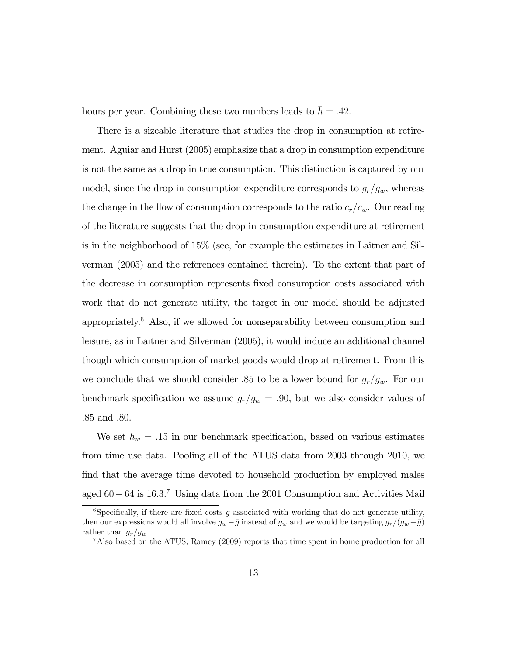hours per year. Combining these two numbers leads to  $\bar{h} = .42$ .

There is a sizeable literature that studies the drop in consumption at retirement. Aguiar and Hurst (2005) emphasize that a drop in consumption expenditure is not the same as a drop in true consumption. This distinction is captured by our model, since the drop in consumption expenditure corresponds to  $g_r/g_w$ , whereas the change in the flow of consumption corresponds to the ratio  $c_r/c_w$ . Our reading of the literature suggests that the drop in consumption expenditure at retirement is in the neighborhood of 15% (see, for example the estimates in Laitner and Silverman (2005) and the references contained therein). To the extent that part of the decrease in consumption represents fixed consumption costs associated with work that do not generate utility, the target in our model should be adjusted appropriately.6 Also, if we allowed for nonseparability between consumption and leisure, as in Laitner and Silverman (2005), it would induce an additional channel though which consumption of market goods would drop at retirement. From this we conclude that we should consider .85 to be a lower bound for  $g_r/g_w$ . For our benchmark specification we assume  $g_r/g_w = .90$ , but we also consider values of .85 and .80.

We set  $h_w = .15$  in our benchmark specification, based on various estimates from time use data. Pooling all of the ATUS data from 2003 through 2010, we find that the average time devoted to household production by employed males aged 60−64 is 163. <sup>7</sup> Using data from the 2001 Consumption and Activities Mail

<sup>&</sup>lt;sup>6</sup>Specifically, if there are fixed costs  $\bar{g}$  associated with working that do not generate utility, then our expressions would all involve  $g_w - \bar{g}$  instead of  $g_w$  and we would be targeting  $g_r/(g_w - \bar{g})$ <br>rather than  $g_r/g_w$ .

 $7A$ lso based on the ATUS, Ramey (2009) reports that time spent in home production for all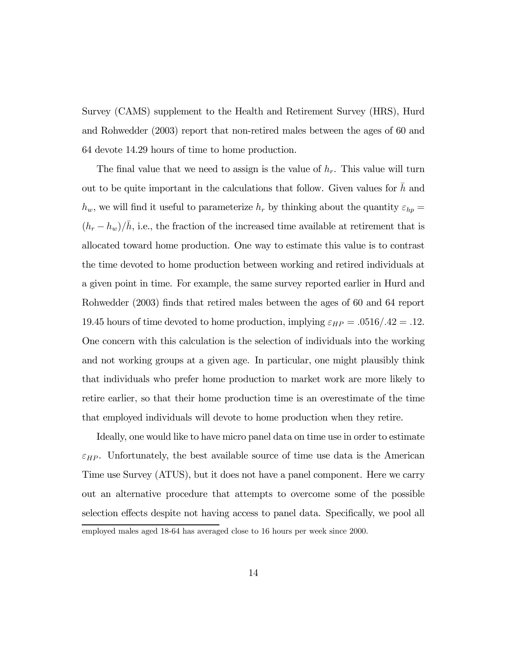Survey (CAMS) supplement to the Health and Retirement Survey (HRS), Hurd and Rohwedder (2003) report that non-retired males between the ages of 60 and 64 devote 14.29 hours of time to home production.

The final value that we need to assign is the value of  $h_r$ . This value will turn out to be quite important in the calculations that follow. Given values for  $h$  and  $h_w$ , we will find it useful to parameterize  $h_r$  by thinking about the quantity  $\varepsilon_{hp} =$  $(h_r - h_w)/\bar{h}$ , i.e., the fraction of the increased time available at retirement that is allocated toward home production. One way to estimate this value is to contrast the time devoted to home production between working and retired individuals at a given point in time. For example, the same survey reported earlier in Hurd and Rohwedder (2003) finds that retired males between the ages of 60 and 64 report 19.45 hours of time devoted to home production, implying  $\varepsilon_{HP} = .0516/.42 = .12.$ One concern with this calculation is the selection of individuals into the working and not working groups at a given age. In particular, one might plausibly think that individuals who prefer home production to market work are more likely to retire earlier, so that their home production time is an overestimate of the time that employed individuals will devote to home production when they retire.

Ideally, one would like to have micro panel data on time use in order to estimate  $\varepsilon_{HP}$ . Unfortunately, the best available source of time use data is the American Time use Survey (ATUS), but it does not have a panel component. Here we carry out an alternative procedure that attempts to overcome some of the possible selection effects despite not having access to panel data. Specifically, we pool all employed males aged 18-64 has averaged close to 16 hours per week since 2000.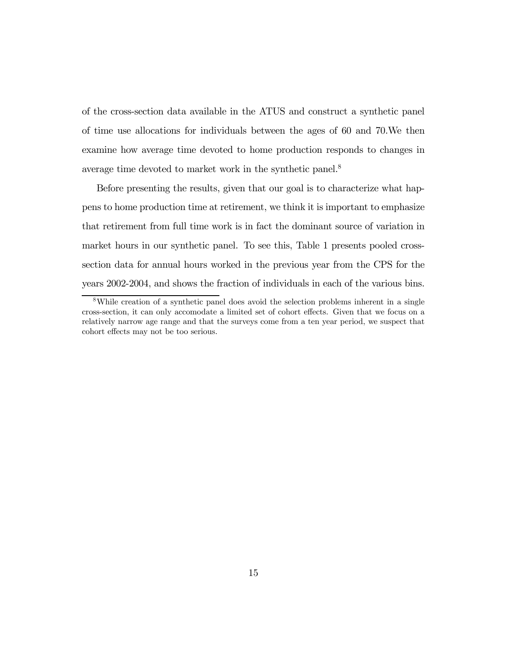of the cross-section data available in the ATUS and construct a synthetic panel of time use allocations for individuals between the ages of 60 and 70.We then examine how average time devoted to home production responds to changes in average time devoted to market work in the synthetic panel.8

Before presenting the results, given that our goal is to characterize what happens to home production time at retirement, we think it is important to emphasize that retirement from full time work is in fact the dominant source of variation in market hours in our synthetic panel. To see this, Table 1 presents pooled crosssection data for annual hours worked in the previous year from the CPS for the years 2002-2004, and shows the fraction of individuals in each of the various bins.

<sup>8</sup>While creation of a synthetic panel does avoid the selection problems inherent in a single cross-section, it can only accomodate a limited set of cohort effects. Given that we focus on a relatively narrow age range and that the surveys come from a ten year period, we suspect that cohort effects may not be too serious.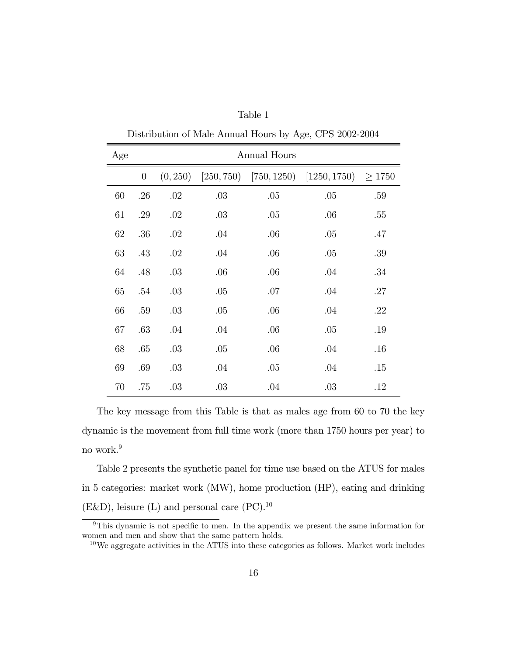| Age | <b>Annual Hours</b> |          |            |     |                              |             |  |  |
|-----|---------------------|----------|------------|-----|------------------------------|-------------|--|--|
|     | $\theta$            | (0, 250) | [250, 750] |     | $[750, 1250)$ $[1250, 1750)$ | $\geq 1750$ |  |  |
| 60  | .26                 | .02      | .03        | .05 | .05                          | .59         |  |  |
| 61  | .29                 | .02      | .03        | .05 | .06                          | .55         |  |  |
| 62  | .36                 | .02      | .04        | .06 | .05                          | .47         |  |  |
| 63  | .43                 | .02      | .04        | .06 | .05                          | .39         |  |  |
| 64  | .48                 | .03      | .06        | .06 | .04                          | .34         |  |  |
| 65  | .54                 | .03      | .05        | .07 | .04                          | .27         |  |  |
| 66  | .59                 | .03      | .05        | .06 | .04                          | .22         |  |  |
| 67  | .63                 | .04      | .04        | .06 | .05                          | .19         |  |  |
| 68  | .65                 | .03      | .05        | .06 | .04                          | .16         |  |  |
| 69  | .69                 | .03      | .04        | .05 | .04                          | .15         |  |  |
| 70  | .75                 | .03      | .03        | .04 | .03                          | .12         |  |  |

Table 1 Distribution of Male Annual Hours by Age, CPS 2002-2004

The key message from this Table is that as males age from 60 to 70 the key dynamic is the movement from full time work (more than 1750 hours per year) to no work.9

Table 2 presents the synthetic panel for time use based on the ATUS for males in 5 categories: market work (MW), home production (HP), eating and drinking (E&D), leisure (L) and personal care  $(PC).^{10}$ 

<sup>&</sup>lt;sup>9</sup>This dynamic is not specific to men. In the appendix we present the same information for women and men and show that the same pattern holds.

 $10$ We aggregate activities in the ATUS into these categories as follows. Market work includes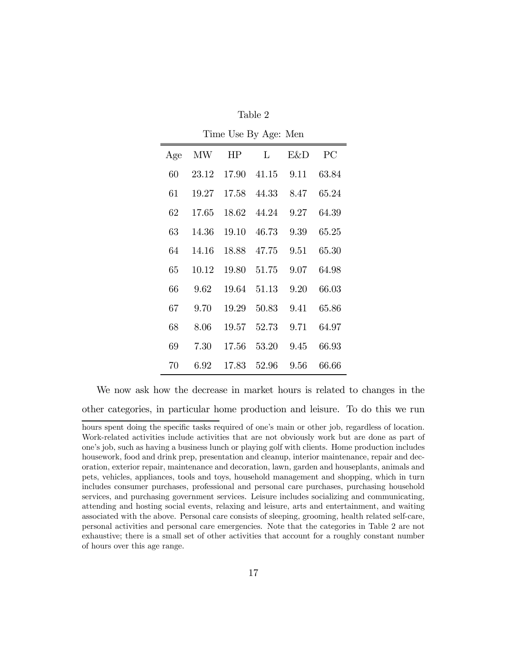| Time Use By Age: Men |       |       |       |      |       |  |  |  |
|----------------------|-------|-------|-------|------|-------|--|--|--|
| Age                  | MW    | HP    | L     | E&D  | PC    |  |  |  |
| 60                   | 23.12 | 17.90 | 41.15 | 9.11 | 63.84 |  |  |  |
| 61                   | 19.27 | 17.58 | 44.33 | 8.47 | 65.24 |  |  |  |
| 62                   | 17.65 | 18.62 | 44.24 | 9.27 | 64.39 |  |  |  |
| 63                   | 14.36 | 19.10 | 46.73 | 9.39 | 65.25 |  |  |  |
| 64                   | 14.16 | 18.88 | 47.75 | 9.51 | 65.30 |  |  |  |
| 65                   | 10.12 | 19.80 | 51.75 | 9.07 | 64.98 |  |  |  |
| 66                   | 9.62  | 19.64 | 51.13 | 9.20 | 66.03 |  |  |  |
| 67                   | 9.70  | 19.29 | 50.83 | 9.41 | 65.86 |  |  |  |
| 68                   | 8.06  | 19.57 | 52.73 | 9.71 | 64.97 |  |  |  |
| 69                   | 7.30  | 17.56 | 53.20 | 9.45 | 66.93 |  |  |  |
| 70                   | 6.92  | 17.83 | 52.96 | 9.56 | 66.66 |  |  |  |

Table 2

We now ask how the decrease in market hours is related to changes in the other categories, in particular home production and leisure. To do this we run

hours spent doing the specific tasks required of one's main or other job, regardless of location. Work-related activities include activities that are not obviously work but are done as part of one's job, such as having a business lunch or playing golf with clients. Home production includes housework, food and drink prep, presentation and cleanup, interior maintenance, repair and decoration, exterior repair, maintenance and decoration, lawn, garden and houseplants, animals and pets, vehicles, appliances, tools and toys, household management and shopping, which in turn includes consumer purchases, professional and personal care purchases, purchasing household services, and purchasing government services. Leisure includes socializing and communicating, attending and hosting social events, relaxing and leisure, arts and entertainment, and waiting associated with the above. Personal care consists of sleeping, grooming, health related self-care, personal activities and personal care emergencies. Note that the categories in Table 2 are not exhaustive; there is a small set of other activities that account for a roughly constant number of hours over this age range.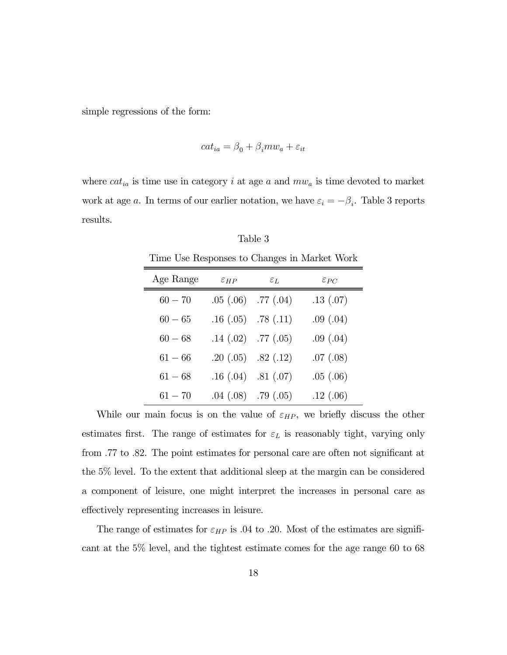simple regressions of the form:

$$
cat_{ia} = \beta_0 + \beta_i m w_a + \varepsilon_{it}
$$

where  $cat_{ia}$  is time use in category *i* at age *a* and  $mw_a$  is time devoted to market work at age a. In terms of our earlier notation, we have  $\varepsilon_i = -\beta_i$ . Table 3 reports results.

Table 3 Time Use Responses to Changes in Market Work

| Age Range | $\epsilon_{HP}$ | $\mathcal{E}$ $I$ ,         | $\varepsilon_{PC}$ |
|-----------|-----------------|-----------------------------|--------------------|
| $60 - 70$ |                 | $.05$ $(.06)$ $.77$ $(.04)$ | .13(.07)           |
| $60 - 65$ |                 | $.16(.05)$ $.78(.11)$       | .09(.04)           |
| $60 - 68$ |                 | $.14$ $(.02)$ $.77$ $(.05)$ | .09(.04)           |
| $61 - 66$ |                 | $.20(.05)$ $.82(.12)$       | .07(.08)           |
| $61 - 68$ |                 | $.16(.04)$ $.81(.07)$       | .05(0.06)          |
| $61 - 70$ |                 | $.04$ $(.08)$ $.79$ $(.05)$ | .12(.06)           |

While our main focus is on the value of  $\varepsilon_{HP}$ , we briefly discuss the other estimates first. The range of estimates for  $\varepsilon_L$  is reasonably tight, varying only from 77 to 82. The point estimates for personal care are often not significant at the 5% level. To the extent that additional sleep at the margin can be considered a component of leisure, one might interpret the increases in personal care as effectively representing increases in leisure.

The range of estimates for  $\varepsilon_{HP}$  is 0.4 to 20. Most of the estimates are significant at the 5% level, and the tightest estimate comes for the age range 60 to 68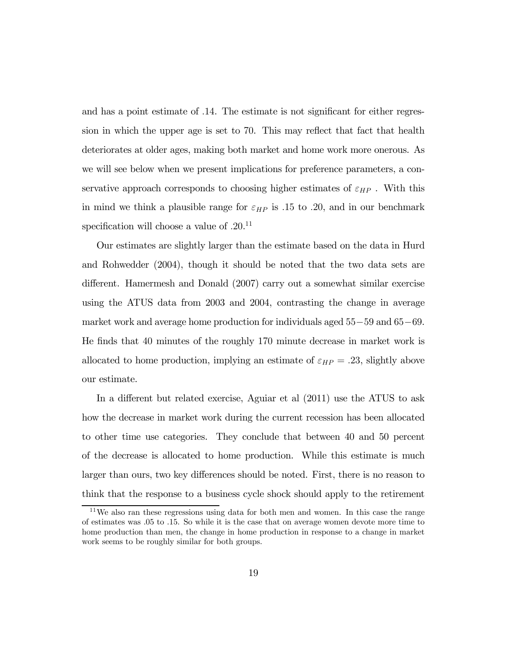and has a point estimate of 14. The estimate is not significant for either regression in which the upper age is set to 70. This may reflect that fact that health deteriorates at older ages, making both market and home work more onerous. As we will see below when we present implications for preference parameters, a conservative approach corresponds to choosing higher estimates of  $\varepsilon_{HP}$ . With this in mind we think a plausible range for  $\varepsilon_{HP}$  is .15 to .20, and in our benchmark specification will choose a value of  $.20^{11}$ 

Our estimates are slightly larger than the estimate based on the data in Hurd and Rohwedder (2004), though it should be noted that the two data sets are different. Hamermesh and Donald (2007) carry out a somewhat similar exercise using the ATUS data from 2003 and 2004, contrasting the change in average market work and average home production for individuals aged 55−59 and 65−69. He finds that 40 minutes of the roughly 170 minute decrease in market work is allocated to home production, implying an estimate of  $\varepsilon_{HP} = .23$ , slightly above our estimate.

In a different but related exercise, Aguiar et al (2011) use the ATUS to ask how the decrease in market work during the current recession has been allocated to other time use categories. They conclude that between 40 and 50 percent of the decrease is allocated to home production. While this estimate is much larger than ours, two key differences should be noted. First, there is no reason to think that the response to a business cycle shock should apply to the retirement

<sup>11</sup>We also ran these regressions using data for both men and women. In this case the range of estimates was 05 to 15. So while it is the case that on average women devote more time to home production than men, the change in home production in response to a change in market work seems to be roughly similar for both groups.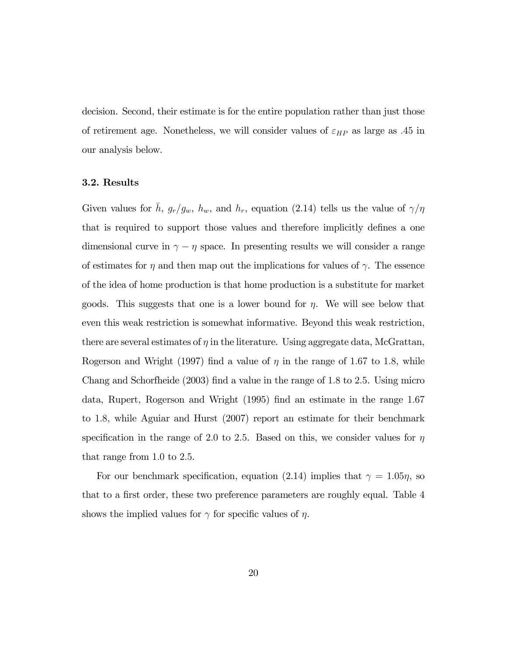decision. Second, their estimate is for the entire population rather than just those of retirement age. Nonetheless, we will consider values of  $\varepsilon_{HP}$  as large as .45 in our analysis below.

#### 3.2. Results

Given values for  $\bar{h}$ ,  $g_r/g_w$ ,  $h_w$ , and  $h_r$ , equation (2.14) tells us the value of  $\gamma/\eta$ that is required to support those values and therefore implicitly defines a one dimensional curve in  $\gamma - \eta$  space. In presenting results we will consider a range of estimates for  $\eta$  and then map out the implications for values of  $\gamma$ . The essence of the idea of home production is that home production is a substitute for market goods. This suggests that one is a lower bound for  $\eta$ . We will see below that even this weak restriction is somewhat informative. Beyond this weak restriction, there are several estimates of  $\eta$  in the literature. Using aggregate data, McGrattan, Rogerson and Wright (1997) find a value of  $\eta$  in the range of 1.67 to 1.8, while Chang and Schorfheide (2003) find a value in the range of 18 to 25. Using micro data, Rupert, Rogerson and Wright (1995) find an estimate in the range 1.67 to 18, while Aguiar and Hurst (2007) report an estimate for their benchmark specification in the range of 2.0 to 2.5. Based on this, we consider values for  $\eta$ that range from  $1.0$  to  $2.5$ .

For our benchmark specification, equation (2.14) implies that  $\gamma = 1.05\eta$ , so that to a first order, these two preference parameters are roughly equal. Table 4 shows the implied values for  $\gamma$  for specific values of  $\eta$ .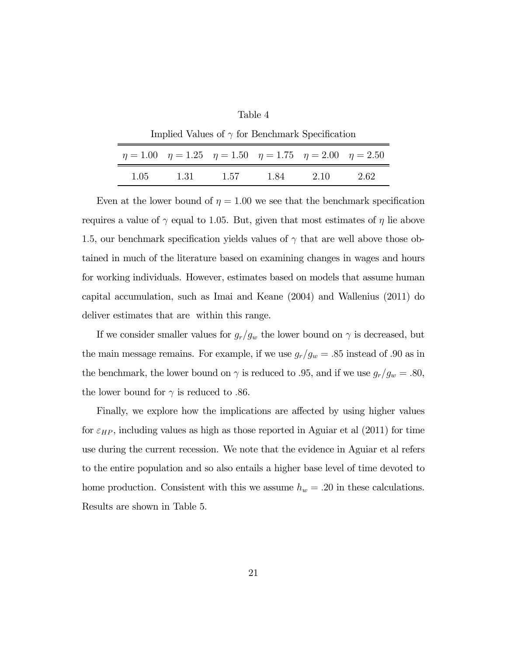| anie |
|------|
|------|

| Implied Values of $\gamma$ for Benchmark Specification |                                                                                     |      |     |      |       |  |  |  |  |
|--------------------------------------------------------|-------------------------------------------------------------------------------------|------|-----|------|-------|--|--|--|--|
|                                                        | $\eta = 1.00$ $\eta = 1.25$ $\eta = 1.50$ $\eta = 1.75$ $\eta = 2.00$ $\eta = 2.50$ |      |     |      |       |  |  |  |  |
| 1.05                                                   | 1.31                                                                                | 1.57 | 184 | 2.10 | -2.62 |  |  |  |  |

Even at the lower bound of  $\eta = 1.00$  we see that the benchmark specification requires a value of  $\gamma$  equal to 1.05. But, given that most estimates of  $\eta$  lie above 1.5, our benchmark specification yields values of  $\gamma$  that are well above those obtained in much of the literature based on examining changes in wages and hours for working individuals. However, estimates based on models that assume human capital accumulation, such as Imai and Keane (2004) and Wallenius (2011) do deliver estimates that are within this range.

If we consider smaller values for  $g_r/g_w$  the lower bound on  $\gamma$  is decreased, but the main message remains. For example, if we use  $g_r/g_w = .85$  instead of 0.90 as in the benchmark, the lower bound on  $\gamma$  is reduced to .95, and if we use  $g_r/g_w = .80$ , the lower bound for  $\gamma$  is reduced to .86.

Finally, we explore how the implications are affected by using higher values for  $\varepsilon_{HP}$ , including values as high as those reported in Aguiar et al (2011) for time use during the current recession. We note that the evidence in Aguiar et al refers to the entire population and so also entails a higher base level of time devoted to home production. Consistent with this we assume  $h_w = .20$  in these calculations. Results are shown in Table 5.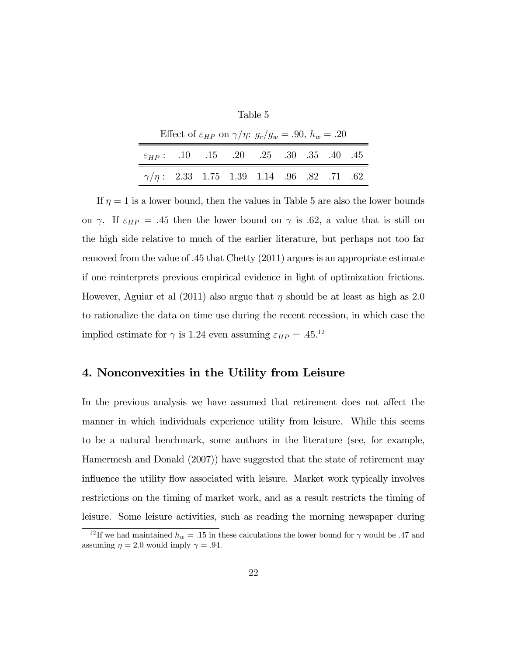| Table 5 |  |
|---------|--|
|---------|--|

| Effect of $\varepsilon_{HP}$ on $\gamma/\eta$ : $g_r/g_w = .90$ , $h_w = .20$ |  |  |  |  |  |  |  |  |  |
|-------------------------------------------------------------------------------|--|--|--|--|--|--|--|--|--|
| $\varepsilon_{HP}$ : .10 .15 .20 .25 .30 .35 .40 .45                          |  |  |  |  |  |  |  |  |  |
| $\gamma/\eta$ : 2.33 1.75 1.39 1.14 .96 .82 .71 .62                           |  |  |  |  |  |  |  |  |  |

If  $\eta = 1$  is a lower bound, then the values in Table 5 are also the lower bounds on  $\gamma$ . If  $\varepsilon_{HP} = .45$  then the lower bound on  $\gamma$  is .62, a value that is still on the high side relative to much of the earlier literature, but perhaps not too far removed from the value of 45 that Chetty (2011) argues is an appropriate estimate if one reinterprets previous empirical evidence in light of optimization frictions. However, Aguiar et al (2011) also argue that  $\eta$  should be at least as high as 2.0 to rationalize the data on time use during the recent recession, in which case the implied estimate for  $\gamma$  is 1.24 even assuming  $\varepsilon_{HP} = .45.^{12}$ 

# 4. Nonconvexities in the Utility from Leisure

In the previous analysis we have assumed that retirement does not affect the manner in which individuals experience utility from leisure. While this seems to be a natural benchmark, some authors in the literature (see, for example, Hamermesh and Donald (2007)) have suggested that the state of retirement may influence the utility flow associated with leisure. Market work typically involves restrictions on the timing of market work, and as a result restricts the timing of leisure. Some leisure activities, such as reading the morning newspaper during

<sup>&</sup>lt;sup>12</sup>If we had maintained  $h_w = .15$  in these calculations the lower bound for  $\gamma$  would be .47 and assuming  $\eta = 2.0$  would imply  $\gamma = .94$ .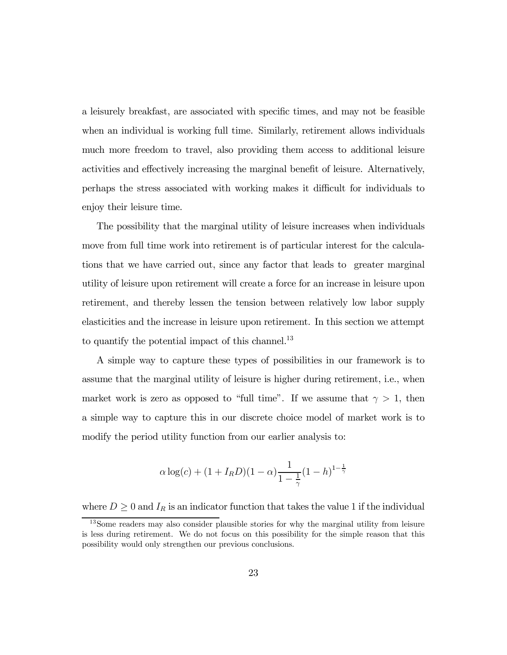a leisurely breakfast, are associated with specific times, and may not be feasible when an individual is working full time. Similarly, retirement allows individuals much more freedom to travel, also providing them access to additional leisure activities and effectively increasing the marginal benefit of leisure. Alternatively, perhaps the stress associated with working makes it difficult for individuals to enjoy their leisure time.

The possibility that the marginal utility of leisure increases when individuals move from full time work into retirement is of particular interest for the calculations that we have carried out, since any factor that leads to greater marginal utility of leisure upon retirement will create a force for an increase in leisure upon retirement, and thereby lessen the tension between relatively low labor supply elasticities and the increase in leisure upon retirement. In this section we attempt to quantify the potential impact of this channel.<sup>13</sup>

A simple way to capture these types of possibilities in our framework is to assume that the marginal utility of leisure is higher during retirement, i.e., when market work is zero as opposed to "full time". If we assume that  $\gamma > 1$ , then a simple way to capture this in our discrete choice model of market work is to modify the period utility function from our earlier analysis to:

$$
\alpha \log(c) + (1 + I_R D)(1 - \alpha) \frac{1}{1 - \frac{1}{\gamma}} (1 - h)^{1 - \frac{1}{\gamma}}
$$

where  $D \geq 0$  and  $I_R$  is an indicator function that takes the value 1 if the individual

<sup>&</sup>lt;sup>13</sup>Some readers may also consider plausible stories for why the marginal utility from leisure is less during retirement. We do not focus on this possibility for the simple reason that this possibility would only strengthen our previous conclusions.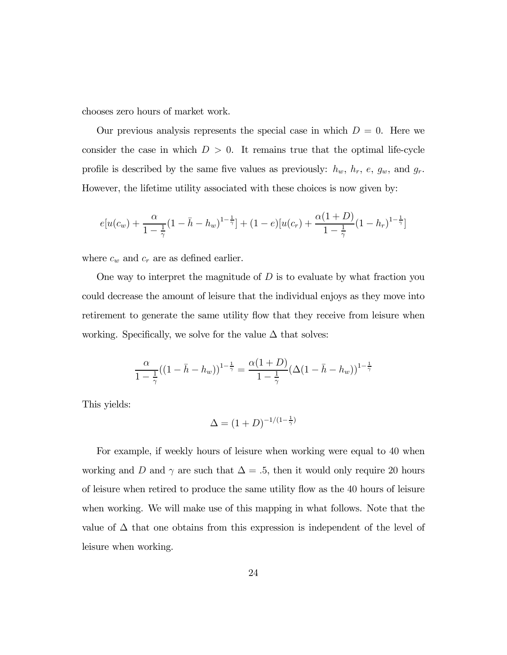chooses zero hours of market work.

Our previous analysis represents the special case in which  $D = 0$ . Here we consider the case in which  $D > 0$ . It remains true that the optimal life-cycle profile is described by the same five values as previously:  $h_w$ ,  $h_r$ ,  $e$ ,  $g_w$ , and  $g_r$ . However, the lifetime utility associated with these choices is now given by:

$$
e[u(c_w) + \frac{\alpha}{1 - \frac{1}{\gamma}}(1 - \bar{h} - h_w)^{1 - \frac{1}{\gamma}}] + (1 - e)[u(c_r) + \frac{\alpha(1 + D)}{1 - \frac{1}{\gamma}}(1 - h_r)^{1 - \frac{1}{\gamma}}]
$$

where  $c_w$  and  $c_r$  are as defined earlier.

One way to interpret the magnitude of  $D$  is to evaluate by what fraction you could decrease the amount of leisure that the individual enjoys as they move into retirement to generate the same utility flow that they receive from leisure when working. Specifically, we solve for the value  $\Delta$  that solves:

$$
\frac{\alpha}{1-\frac{1}{\gamma}}((1-\bar{h}-h_w))^{1-\frac{1}{\gamma}}=\frac{\alpha(1+D)}{1-\frac{1}{\gamma}}(\Delta(1-\bar{h}-h_w))^{1-\frac{1}{\gamma}}
$$

This yields:

$$
\Delta = (1+D)^{-1/(1-\frac{1}{\gamma})}
$$

For example, if weekly hours of leisure when working were equal to 40 when working and D and  $\gamma$  are such that  $\Delta = .5$ , then it would only require 20 hours of leisure when retired to produce the same utility flow as the 40 hours of leisure when working. We will make use of this mapping in what follows. Note that the value of  $\Delta$  that one obtains from this expression is independent of the level of leisure when working.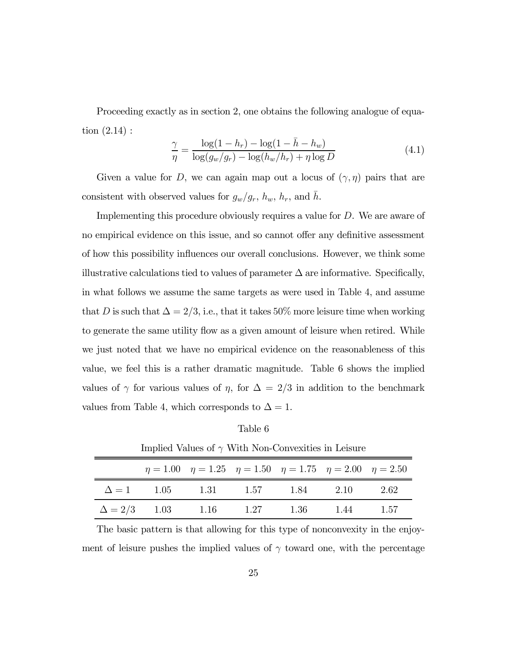Proceeding exactly as in section 2, one obtains the following analogue of equation (2.14) :

$$
\frac{\gamma}{\eta} = \frac{\log(1 - h_r) - \log(1 - \bar{h} - h_w)}{\log(g_w/g_r) - \log(h_w/h_r) + \eta \log D} \tag{4.1}
$$

Given a value for D, we can again map out a locus of  $(\gamma, \eta)$  pairs that are consistent with observed values for  $g_w/g_r$ ,  $h_w$ ,  $h_r$ , and  $\bar{h}$ .

Implementing this procedure obviously requires a value for  $D$ . We are aware of no empirical evidence on this issue, and so cannot offer any definitive assessment of how this possibility influences our overall conclusions. However, we think some illustrative calculations tied to values of parameter  $\Delta$  are informative. Specifically, in what follows we assume the same targets as were used in Table 4, and assume that  $D$  is such that  $\Delta = 2/3$ , i.e., that it takes 50% more leisure time when working to generate the same utility flow as a given amount of leisure when retired. While we just noted that we have no empirical evidence on the reasonableness of this value, we feel this is a rather dramatic magnitude. Table 6 shows the implied values of  $\gamma$  for various values of  $\eta$ , for  $\Delta = 2/3$  in addition to the benchmark values from Table 4, which corresponds to  $\Delta = 1$ .

Table 6

|                                  | $\eta = 1.00$ $\eta = 1.25$ $\eta = 1.50$ $\eta = 1.75$ $\eta = 2.00$ $\eta = 2.50$ |      |      |      |
|----------------------------------|-------------------------------------------------------------------------------------|------|------|------|
| $\Delta = 1$ 1.05 1.31 1.57 1.84 |                                                                                     |      | 2.10 | 2.62 |
| $\Delta = 2/3$ 1.03 1.16 1.27    |                                                                                     | 1.36 | 1.44 | 1.57 |

Implied Values of  $\gamma$  With Non-Convexities in Leisure

The basic pattern is that allowing for this type of nonconvexity in the enjoyment of leisure pushes the implied values of  $\gamma$  toward one, with the percentage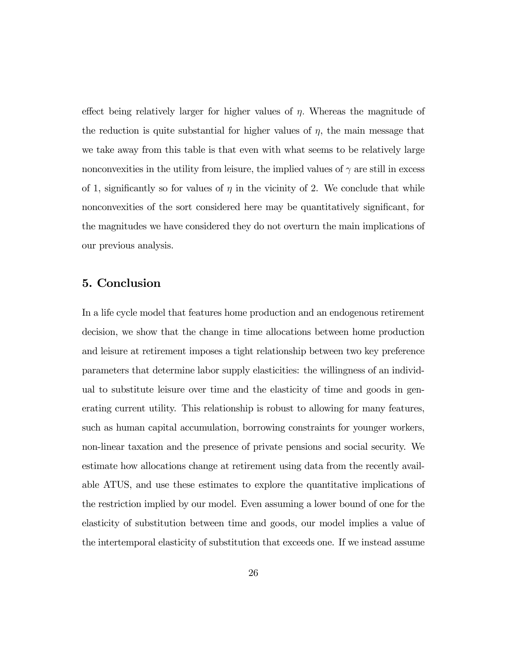effect being relatively larger for higher values of  $\eta$ . Whereas the magnitude of the reduction is quite substantial for higher values of  $\eta$ , the main message that we take away from this table is that even with what seems to be relatively large nonconvexities in the utility from leisure, the implied values of  $\gamma$  are still in excess of 1, significantly so for values of  $\eta$  in the vicinity of 2. We conclude that while nonconvexities of the sort considered here may be quantitatively significant, for the magnitudes we have considered they do not overturn the main implications of our previous analysis.

## 5. Conclusion

In a life cycle model that features home production and an endogenous retirement decision, we show that the change in time allocations between home production and leisure at retirement imposes a tight relationship between two key preference parameters that determine labor supply elasticities: the willingness of an individual to substitute leisure over time and the elasticity of time and goods in generating current utility. This relationship is robust to allowing for many features, such as human capital accumulation, borrowing constraints for younger workers, non-linear taxation and the presence of private pensions and social security. We estimate how allocations change at retirement using data from the recently available ATUS, and use these estimates to explore the quantitative implications of the restriction implied by our model. Even assuming a lower bound of one for the elasticity of substitution between time and goods, our model implies a value of the intertemporal elasticity of substitution that exceeds one. If we instead assume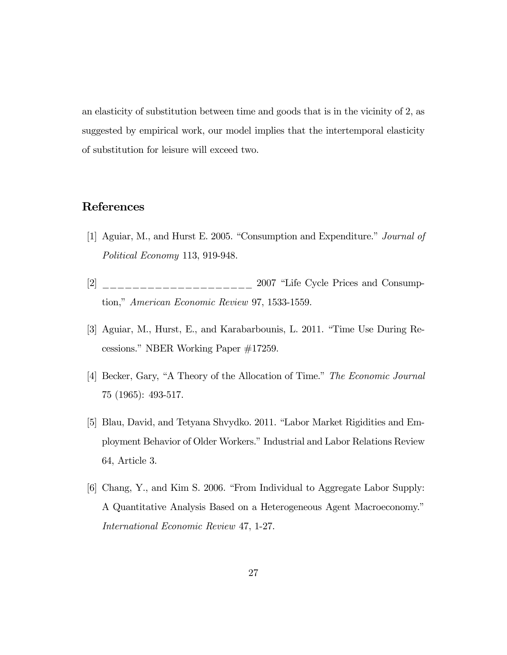an elasticity of substitution between time and goods that is in the vicinity of 2, as suggested by empirical work, our model implies that the intertemporal elasticity of substitution for leisure will exceed two.

# References

- [1] Aguiar, M., and Hurst E. 2005. "Consumption and Expenditure." Journal of Political Economy 113, 919-948.
- $[2]$  \_\_\_\_\_\_\_\_\_\_\_\_\_\_\_\_\_\_\_ 2007 "Life Cycle Prices and Consumption," American Economic Review 97, 1533-1559.
- [3] Aguiar, M., Hurst, E., and Karabarbounis, L. 2011. "Time Use During Recessions." NBER Working Paper #17259.
- [4] Becker, Gary, "A Theory of the Allocation of Time." The Economic Journal 75 (1965): 493-517.
- [5] Blau, David, and Tetyana Shvydko. 2011. "Labor Market Rigidities and Employment Behavior of Older Workers." Industrial and Labor Relations Review 64, Article 3.
- [6] Chang, Y., and Kim S. 2006. "From Individual to Aggregate Labor Supply: A Quantitative Analysis Based on a Heterogeneous Agent Macroeconomy." International Economic Review 47, 1-27.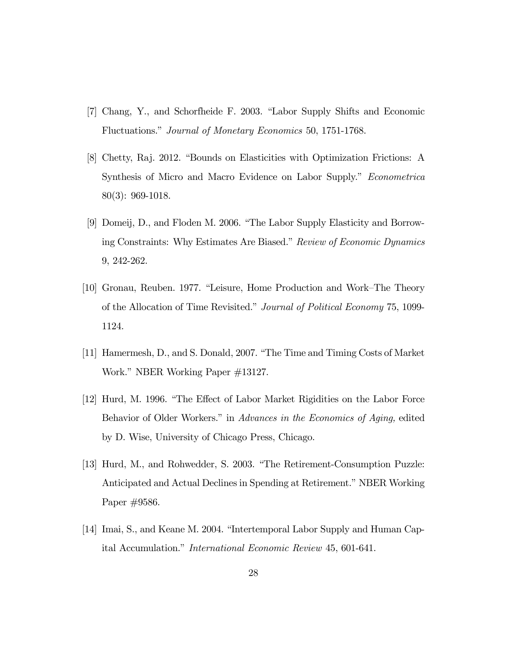- [7] Chang, Y., and Schorfheide F. 2003. "Labor Supply Shifts and Economic Fluctuations." Journal of Monetary Economics 50, 1751-1768.
- [8] Chetty, Raj. 2012. "Bounds on Elasticities with Optimization Frictions: A Synthesis of Micro and Macro Evidence on Labor Supply." Econometrica 80(3): 969-1018.
- [9] Domeij, D., and Floden M. 2006. "The Labor Supply Elasticity and Borrowing Constraints: Why Estimates Are Biased." Review of Economic Dynamics 9, 242-262.
- [10] Gronau, Reuben. 1977. "Leisure, Home Production and Work—The Theory of the Allocation of Time Revisited." Journal of Political Economy 75, 1099- 1124.
- [11] Hamermesh, D., and S. Donald, 2007. "The Time and Timing Costs of Market Work." NBER Working Paper #13127.
- [12] Hurd, M. 1996. "The Effect of Labor Market Rigidities on the Labor Force Behavior of Older Workers." in Advances in the Economics of Aging, edited by D. Wise, University of Chicago Press, Chicago.
- [13] Hurd, M., and Rohwedder, S. 2003. "The Retirement-Consumption Puzzle: Anticipated and Actual Declines in Spending at Retirement." NBER Working Paper #9586.
- [14] Imai, S., and Keane M. 2004. "Intertemporal Labor Supply and Human Capital Accumulation." International Economic Review 45, 601-641.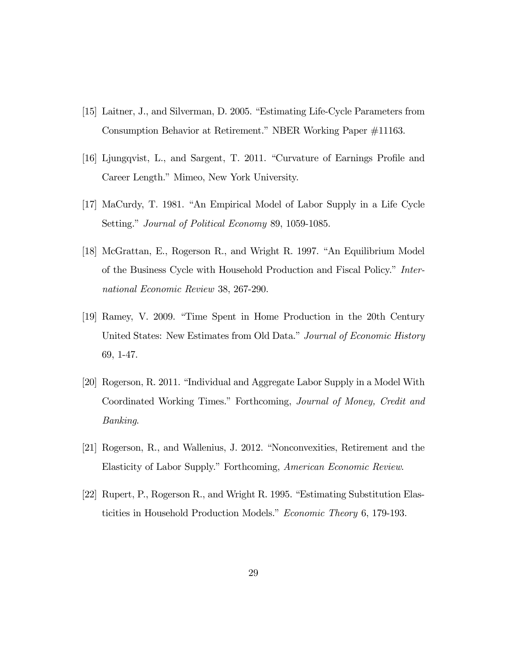- [15] Laitner, J., and Silverman, D. 2005. "Estimating Life-Cycle Parameters from Consumption Behavior at Retirement." NBER Working Paper #11163.
- [16] Ljungqvist, L., and Sargent, T. 2011. "Curvature of Earnings Profile and Career Length." Mimeo, New York University.
- [17] MaCurdy, T. 1981. "An Empirical Model of Labor Supply in a Life Cycle Setting." Journal of Political Economy 89, 1059-1085.
- [18] McGrattan, E., Rogerson R., and Wright R. 1997. "An Equilibrium Model of the Business Cycle with Household Production and Fiscal Policy." International Economic Review 38, 267-290.
- [19] Ramey, V. 2009. "Time Spent in Home Production in the 20th Century United States: New Estimates from Old Data." Journal of Economic History 69, 1-47.
- [20] Rogerson, R. 2011. "Individual and Aggregate Labor Supply in a Model With Coordinated Working Times." Forthcoming, Journal of Money, Credit and Banking.
- [21] Rogerson, R., and Wallenius, J. 2012. "Nonconvexities, Retirement and the Elasticity of Labor Supply." Forthcoming, American Economic Review.
- [22] Rupert, P., Rogerson R., and Wright R. 1995. "Estimating Substitution Elasticities in Household Production Models." Economic Theory 6, 179-193.